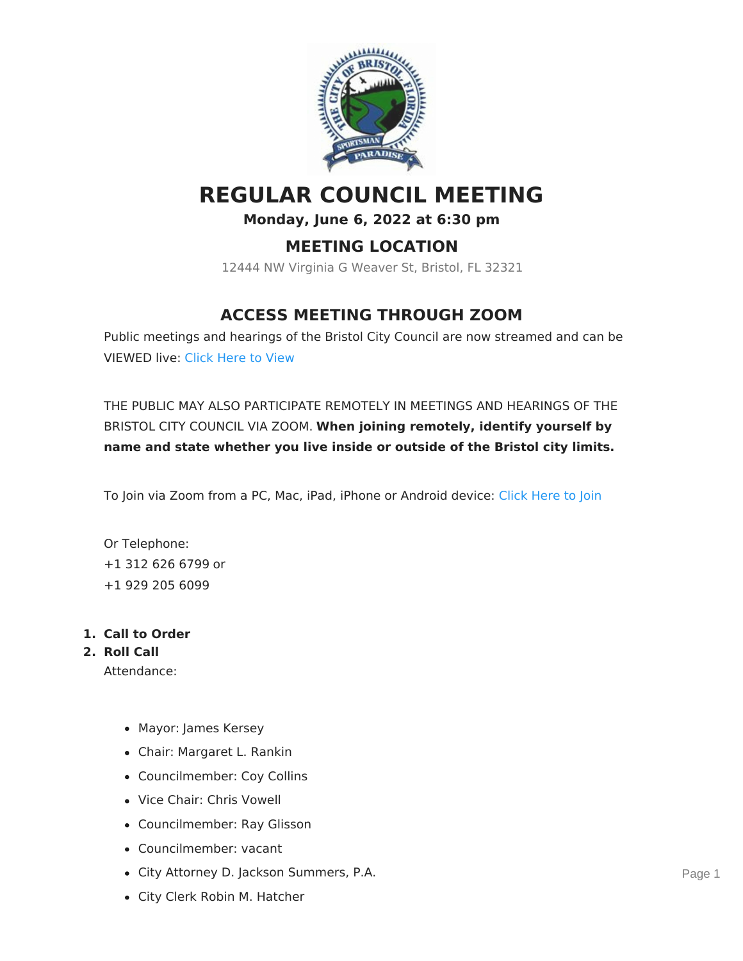

# **REGULAR COUNCIL MEETING**

#### **Monday, June 6, 2022 at 6:30 pm**

## **MEETING LOCATION**

12444 NW Virginia G Weaver St, Bristol, FL 32321

# **ACCESS MEETING THROUGH ZOOM**

Public meetings and hearings of the Bristol City Council are now streamed and can be VIEWED live: Click [Here](https://www.youtube.com/channel/UCdmOodCIzX2H97mypECd-gQ) to View

THE PUBLIC MAY ALSO PARTICIPATE REMOTELY IN MEETINGS AND HEARINGS OF THE BRISTOL CITY COUNCIL VIA ZOOM. **When joining remotely, identify yourself by name and state whether you live inside or outside of the Bristol city limits.**

To Join via Zoom from a PC, Mac, iPad, iPhone or Android device: Click [Here](https://us02web.zoom.us/j/87623992139) to Join

Or Telephone: +1 312 626 6799 or +1 929 205 6099

#### **1. Call to Order**

**2. Roll Call**

Attendance:

- Mayor: James Kersey
- Chair: Margaret L. Rankin
- Councilmember: Coy Collins
- Vice Chair: Chris Vowell
- Councilmember: Ray Glisson
- Councilmember: vacant
- City Attorney D. Jackson Summers, P.A.
- City Clerk Robin M. Hatcher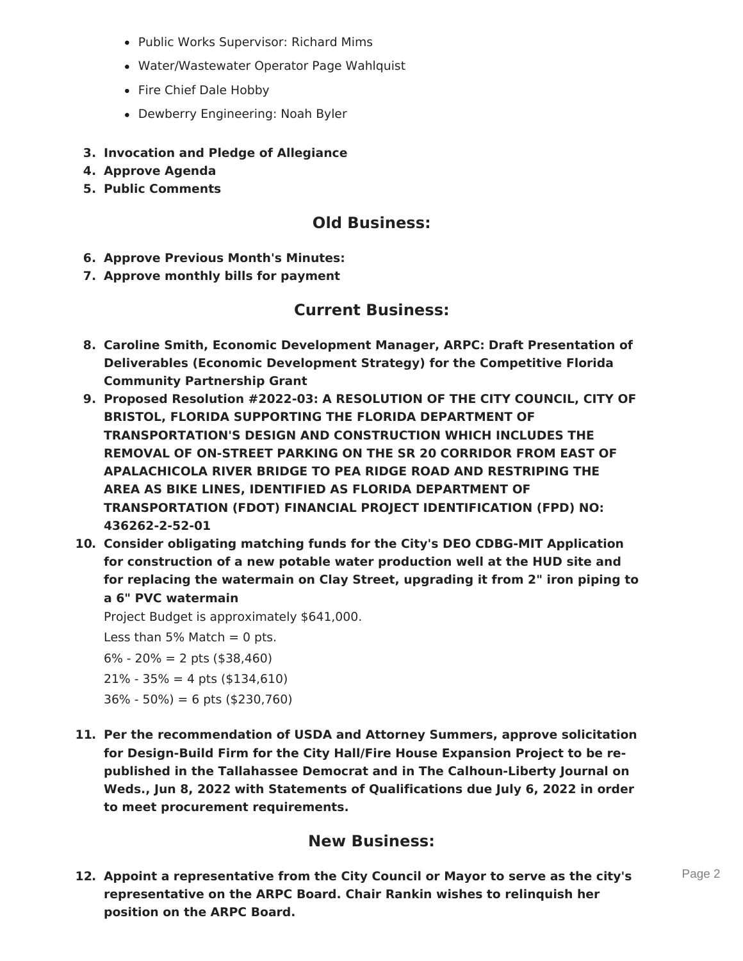- Public Works Supervisor: Richard Mims
- Water/Wastewater Operator Page Wahlquist
- Fire Chief Dale Hobby
- Dewberry Engineering: Noah Byler
- **3. Invocation and Pledge of Allegiance**
- **4. Approve Agenda**
- **5. Public Comments**

### **Old Business:**

- **6. Approve Previous Month's Minutes:**
- **7. Approve monthly bills for payment**

#### **Current Business:**

- **8. Caroline Smith, Economic Development Manager, ARPC: Draft Presentation of Deliverables (Economic Development Strategy) for the Competitive Florida Community Partnership Grant**
- **9. Proposed Resolution #2022-03: A RESOLUTION OF THE CITY COUNCIL, CITY OF BRISTOL, FLORIDA SUPPORTING THE FLORIDA DEPARTMENT OF TRANSPORTATION'S DESIGN AND CONSTRUCTION WHICH INCLUDES THE REMOVAL OF ON-STREET PARKING ON THE SR 20 CORRIDOR FROM EAST OF APALACHICOLA RIVER BRIDGE TO PEA RIDGE ROAD AND RESTRIPING THE AREA AS BIKE LINES, IDENTIFIED AS FLORIDA DEPARTMENT OF TRANSPORTATION (FDOT) FINANCIAL PROJECT IDENTIFICATION (FPD) NO: 436262-2-52-01**
- **10. Consider obligating matching funds for the City's DEO CDBG-MIT Application for construction of a new potable water production well at the HUD site and for replacing the watermain on Clay Street, upgrading it from 2" iron piping to a 6" PVC watermain**

Project Budget is approximately \$641,000.

Less than 5% Match  $= 0$  pts.

 $6\% - 20\% = 2$  pts (\$38,460)

- $21\% 35\% = 4$  pts (\$134,610)
- $36\% 50\%) = 6$  pts (\$230,760)
- **11. Per the recommendation of USDA and Attorney Summers, approve solicitation for Design-Build Firm for the City Hall/Fire House Expansion Project to be republished in the Tallahassee Democrat and in The Calhoun-Liberty Journal on Weds., Jun 8, 2022 with Statements of Qualifications due July 6, 2022 in order to meet procurement requirements.**

#### **New Business:**

**12. Appoint a representative from the City Council or Mayor to serve as the city's representative on the ARPC Board. Chair Rankin wishes to relinquish her position on the ARPC Board.**